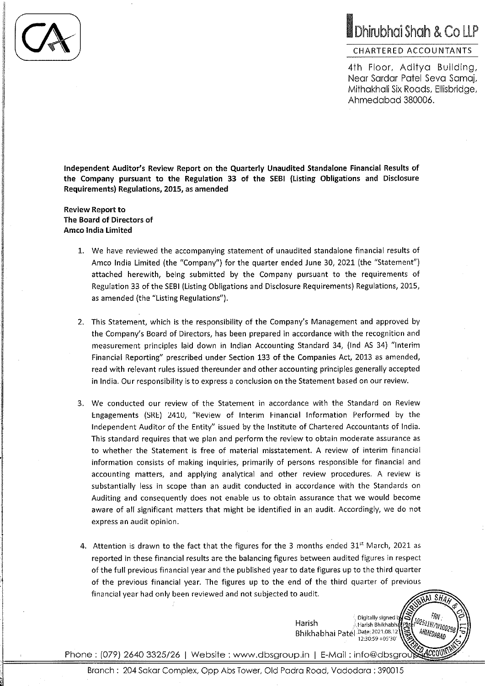# Dhirubhai Shah & Co LLP

### **CHARTERED ACCOUNTANTS**

4th Floor, Aditya Building, Near Sardar Patel Seva Samaj, Mithakhali Six Roads, Ellisbridge, Ahmedabad 380006.

Independent Auditor's Review Report on the Quarterly Unaudited Standalone Financial Results of the Company pursuant to the Regulation 33 of the SEBI (Listing Obligations and Disclosure Requirements) Regulations, 2015, as amended

**Review Report to** The Board of Directors of **Amco India Limited** 

- 1. We have reviewed the accompanying statement of unaudited standalone financial results of Amco India Limited (the "Company") for the quarter ended June 30, 2021 (the "Statement") attached herewith, being submitted by the Company pursuant to the requirements of Regulation 33 of the SEBI (Listing Obligations and Disclosure Requirements) Regulations, 2015, as amended (the "Listing Regulations").
- 2. This Statement, which is the responsibility of the Company's Management and approved by the Company's Board of Directors, has been prepared in accordance with the recognition and measurement principles laid down in Indian Accounting Standard 34, (Ind AS 34) "Interim Financial Reporting" prescribed under Section 133 of the Companies Act, 2013 as amended, read with relevant rules issued thereunder and other accounting principles generally accepted in India. Our responsibility is to express a conclusion on the Statement based on our review.
- 3. We conducted our review of the Statement in accordance with the Standard on Review Engagements (SRE) 2410, "Review of Interim Financial Information Performed by the Independent Auditor of the Entity" issued by the Institute of Chartered Accountants of India. This standard requires that we plan and perform the review to obtain moderate assurance as to whether the Statement is free of material misstatement. A review of interim financial information consists of making inquiries, primarily of persons responsible for financial and accounting matters, and applying analytical and other review procedures. A review is substantially less in scope than an audit conducted in accordance with the Standards on Auditing and consequently does not enable us to obtain assurance that we would become aware of all significant matters that might be identified in an audit. Accordingly, we do not express an audit opinion.
- 4. Attention is drawn to the fact that the figures for the 3 months ended 31st March, 2021 as reported in these financial results are the balancing figures between audited figures in respect of the full previous financial year and the published year to date figures up to the third quarter of the previous financial year. The figures up to the end of the third quarter of previous financial year had only been reviewed and not subjected to audit.

Digitally signed b Harish Harish Bhikhabha Bhikhabhai Patél Date: 2021.08.12 12:30:59 +05 30

SĤ.

FRN -<sup>102511W/W100298</sup>

AHMEDABAD

ACCOUI

Phone: (079) 2640 3325/26 | Website : www.dbsgroup.in | E-Mail : info@dbsgrout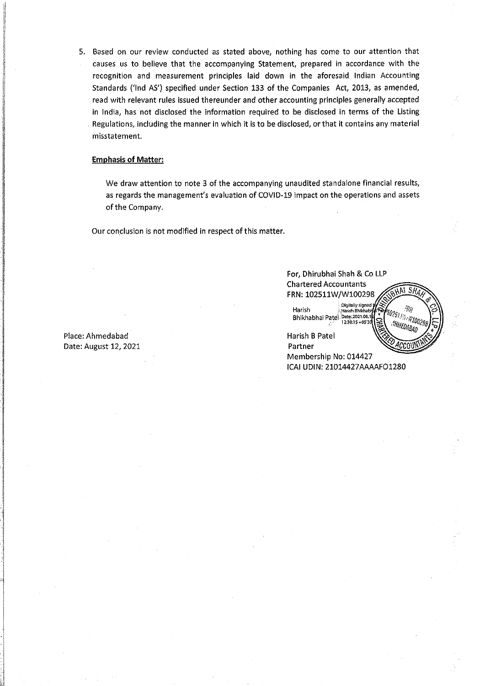5. Based on our review conducted as stated above, nothing has come to our attention that causes us to believe that the accompanying Statement, prepared in accordance with the  $\hat{\mathbf{r}}$ recognition and measurement principles laid down in the aforesaid Indian Accounting Standards ('Ind AS') specified under Section 133 of the Companies Act, 2013, as amended, read with relevant rules issued thereunder and other accounting principles generally accepted in India, has not disclosed the information required to be disclosed in terms of the Listing Regulations, including the manner in which it is to be disclosed, or that it contains any material misstatement.

### **Emphasis of Matter:**

We draw attention to note 3 of the accompanying unaudited standalone financial results, as regards the management's evaluation of COVID-19 impact on the operations and assets of the Company.

Our conclusion is not modified in respect of this matter.

Place: Ahmedabad Date: August 12, 2021

| For, Dhirubhai Shah & Co LLP<br><b>Chartered Accountants</b><br>SH.<br>FRN: 102511W/W100298<br>Digitally signed y<br>$-R_{\rm P}$<br>Harish<br>Harish Bhikhabh.<br>A102511W/W100298<br>Bhikhabhai Patel Date 2021.08.12<br>AHMEDABAD<br>Harish B Patel<br>Partner |  |
|-------------------------------------------------------------------------------------------------------------------------------------------------------------------------------------------------------------------------------------------------------------------|--|
|                                                                                                                                                                                                                                                                   |  |
| Membership No: 014427                                                                                                                                                                                                                                             |  |
| ICAI UDIN: 21014427AAAAFO1280                                                                                                                                                                                                                                     |  |